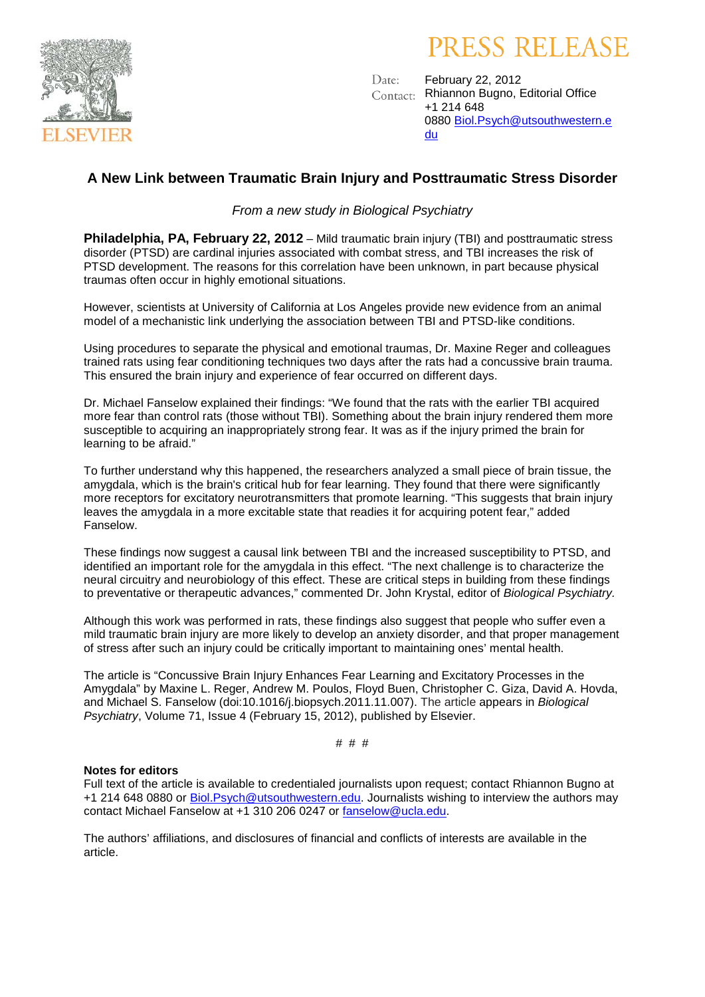

# PRESS RELEASE

February 22, 2012 Date: Rhiannon Bugno, Editorial Office Contact: +1 214 648 0880 [Biol.Psych@utsouthwestern.e](mailto:Biol.Psych@utsouthwestern.edu) [du](mailto:Biol.Psych@utsouthwestern.edu)

## **A New Link between Traumatic Brain Injury and Posttraumatic Stress Disorder**

*From a new study in Biological Psychiatry*

**Philadelphia, PA, February 22, 2012** – Mild traumatic brain injury (TBI) and posttraumatic stress disorder (PTSD) are cardinal injuries associated with combat stress, and TBI increases the risk of PTSD development. The reasons for this correlation have been unknown, in part because physical traumas often occur in highly emotional situations.

However, scientists at University of California at Los Angeles provide new evidence from an animal model of a mechanistic link underlying the association between TBI and PTSD-like conditions.

Using procedures to separate the physical and emotional traumas, Dr. Maxine Reger and colleagues trained rats using fear conditioning techniques two days after the rats had a concussive brain trauma. This ensured the brain injury and experience of fear occurred on different days.

Dr. Michael Fanselow explained their findings: "We found that the rats with the earlier TBI acquired more fear than control rats (those without TBI). Something about the brain injury rendered them more susceptible to acquiring an inappropriately strong fear. It was as if the injury primed the brain for learning to be afraid."

To further understand why this happened, the researchers analyzed a small piece of brain tissue, the amygdala, which is the brain's critical hub for fear learning. They found that there were significantly more receptors for excitatory neurotransmitters that promote learning. "This suggests that brain injury leaves the amygdala in a more excitable state that readies it for acquiring potent fear," added Fanselow.

These findings now suggest a causal link between TBI and the increased susceptibility to PTSD, and identified an important role for the amygdala in this effect. "The next challenge is to characterize the neural circuitry and neurobiology of this effect. These are critical steps in building from these findings to preventative or therapeutic advances," commented Dr. John Krystal, editor of *Biological Psychiatry.*

Although this work was performed in rats, these findings also suggest that people who suffer even a mild traumatic brain injury are more likely to develop an anxiety disorder, and that proper management of stress after such an injury could be critically important to maintaining ones' mental health.

The article is "Concussive Brain Injury Enhances Fear Learning and Excitatory Processes in the Amygdala" by Maxine L. Reger, Andrew M. Poulos, Floyd Buen, Christopher C. Giza, David A. Hovda, and Michael S. Fanselow (doi:10.1016/j.biopsych.2011.11.007). The article appears in *Biological Psychiatry*, Volume 71, Issue 4 (February 15, 2012), published by Elsevier.

# # #

### **Notes for editors**

Full text of the article is available to credentialed journalists upon request; contact Rhiannon Bugno at +1 214 648 0880 or [Biol.Psych@utsouthwestern.edu.](mailto:Biol.Psych@utsouthwestern.edu) Journalists wishing to interview the authors may contact Michael Fanselow at +1 310 206 0247 or [fanselow@ucla.edu.](mailto:fanselow@ucla.edu)

The authors' affiliations, and disclosures of financial and conflicts of interests are available in the article.